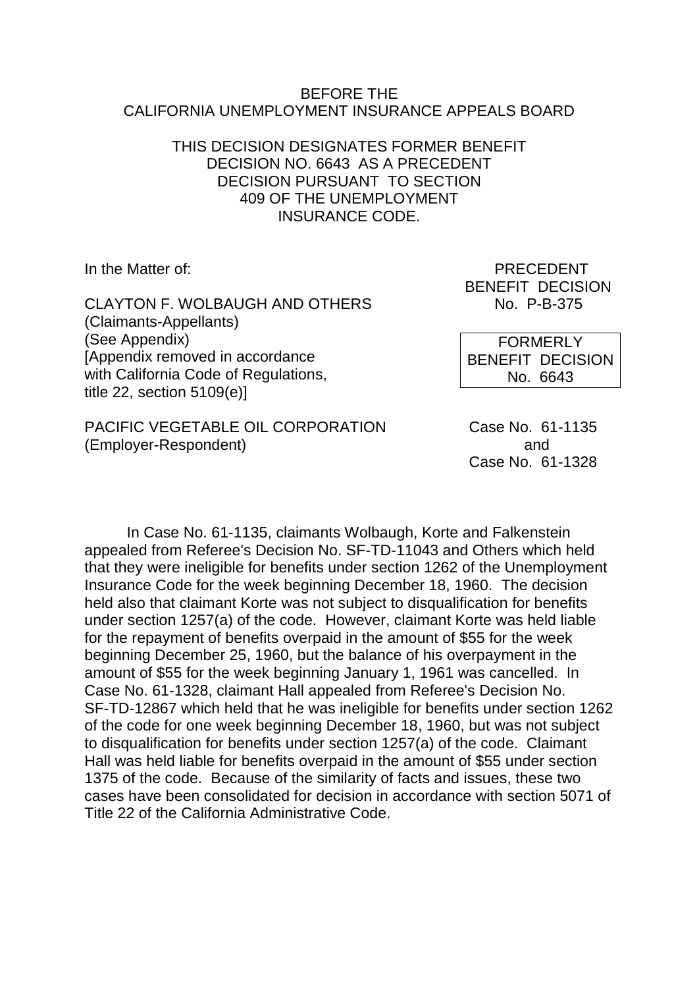#### BEFORE THE CALIFORNIA UNEMPLOYMENT INSURANCE APPEALS BOARD

#### THIS DECISION DESIGNATES FORMER BENEFIT DECISION NO. 6643 AS A PRECEDENT DECISION PURSUANT TO SECTION 409 OF THE UNEMPLOYMENT INSURANCE CODE.

CLAYTON F. WOLBAUGH AND OTHERS No. P-B-375 (Claimants-Appellants) (See Appendix) [Appendix removed in accordance with California Code of Regulations. title 22, section 5109(e)]

PACIFIC VEGETABLE OIL CORPORATION Case No. 61-1135 (Employer-Respondent) and

In the Matter of: PRECEDENT BENEFIT DECISION

> FORMERLY BENEFIT DECISION No. 6643

Case No. 61-1328

In Case No. 61-1135, claimants Wolbaugh, Korte and Falkenstein appealed from Referee's Decision No. SF-TD-11043 and Others which held that they were ineligible for benefits under section 1262 of the Unemployment Insurance Code for the week beginning December 18, 1960. The decision held also that claimant Korte was not subject to disqualification for benefits under section 1257(a) of the code. However, claimant Korte was held liable for the repayment of benefits overpaid in the amount of \$55 for the week beginning December 25, 1960, but the balance of his overpayment in the amount of \$55 for the week beginning January 1, 1961 was cancelled. In Case No. 61-1328, claimant Hall appealed from Referee's Decision No. SF-TD-12867 which held that he was ineligible for benefits under section 1262 of the code for one week beginning December 18, 1960, but was not subject to disqualification for benefits under section 1257(a) of the code. Claimant Hall was held liable for benefits overpaid in the amount of \$55 under section 1375 of the code. Because of the similarity of facts and issues, these two cases have been consolidated for decision in accordance with section 5071 of Title 22 of the California Administrative Code.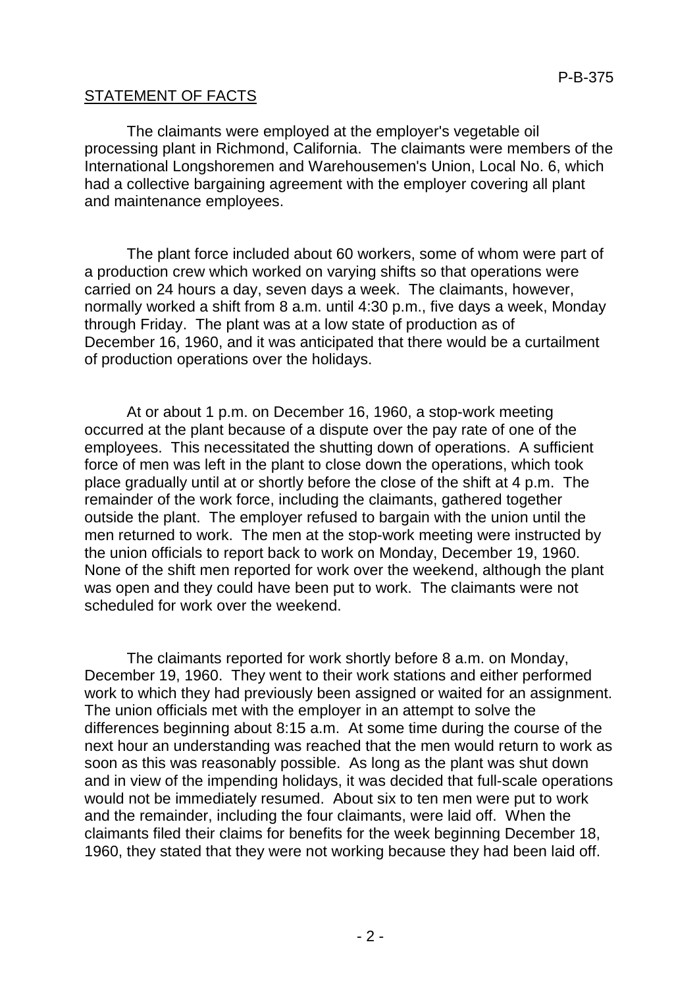## STATEMENT OF FACTS

The claimants were employed at the employer's vegetable oil processing plant in Richmond, California. The claimants were members of the International Longshoremen and Warehousemen's Union, Local No. 6, which had a collective bargaining agreement with the employer covering all plant and maintenance employees.

The plant force included about 60 workers, some of whom were part of a production crew which worked on varying shifts so that operations were carried on 24 hours a day, seven days a week. The claimants, however, normally worked a shift from 8 a.m. until 4:30 p.m., five days a week, Monday through Friday. The plant was at a low state of production as of December 16, 1960, and it was anticipated that there would be a curtailment of production operations over the holidays.

At or about 1 p.m. on December 16, 1960, a stop-work meeting occurred at the plant because of a dispute over the pay rate of one of the employees. This necessitated the shutting down of operations. A sufficient force of men was left in the plant to close down the operations, which took place gradually until at or shortly before the close of the shift at 4 p.m. The remainder of the work force, including the claimants, gathered together outside the plant. The employer refused to bargain with the union until the men returned to work. The men at the stop-work meeting were instructed by the union officials to report back to work on Monday, December 19, 1960. None of the shift men reported for work over the weekend, although the plant was open and they could have been put to work. The claimants were not scheduled for work over the weekend.

The claimants reported for work shortly before 8 a.m. on Monday, December 19, 1960. They went to their work stations and either performed work to which they had previously been assigned or waited for an assignment. The union officials met with the employer in an attempt to solve the differences beginning about 8:15 a.m. At some time during the course of the next hour an understanding was reached that the men would return to work as soon as this was reasonably possible. As long as the plant was shut down and in view of the impending holidays, it was decided that full-scale operations would not be immediately resumed. About six to ten men were put to work and the remainder, including the four claimants, were laid off. When the claimants filed their claims for benefits for the week beginning December 18, 1960, they stated that they were not working because they had been laid off.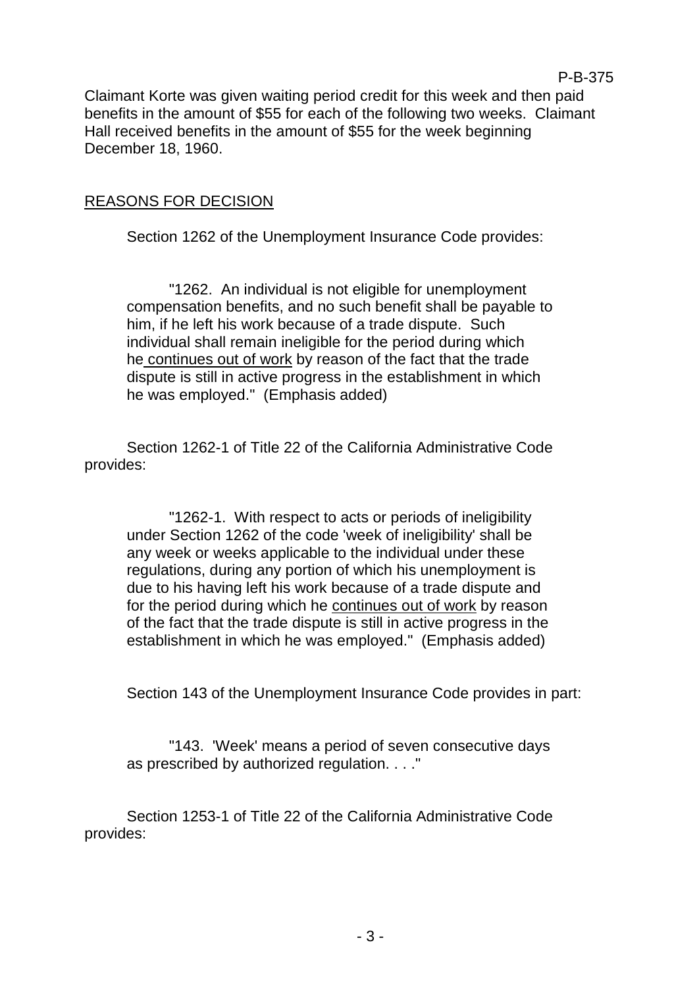Claimant Korte was given waiting period credit for this week and then paid benefits in the amount of \$55 for each of the following two weeks. Claimant Hall received benefits in the amount of \$55 for the week beginning December 18, 1960.

P-B-375

#### REASONS FOR DECISION

Section 1262 of the Unemployment Insurance Code provides:

"1262. An individual is not eligible for unemployment compensation benefits, and no such benefit shall be payable to him, if he left his work because of a trade dispute. Such individual shall remain ineligible for the period during which he continues out of work by reason of the fact that the trade dispute is still in active progress in the establishment in which he was employed." (Emphasis added)

Section 1262-1 of Title 22 of the California Administrative Code provides:

"1262-1. With respect to acts or periods of ineligibility under Section 1262 of the code 'week of ineligibility' shall be any week or weeks applicable to the individual under these regulations, during any portion of which his unemployment is due to his having left his work because of a trade dispute and for the period during which he continues out of work by reason of the fact that the trade dispute is still in active progress in the establishment in which he was employed." (Emphasis added)

Section 143 of the Unemployment Insurance Code provides in part:

"143. 'Week' means a period of seven consecutive days as prescribed by authorized regulation. . . ."

Section 1253-1 of Title 22 of the California Administrative Code provides: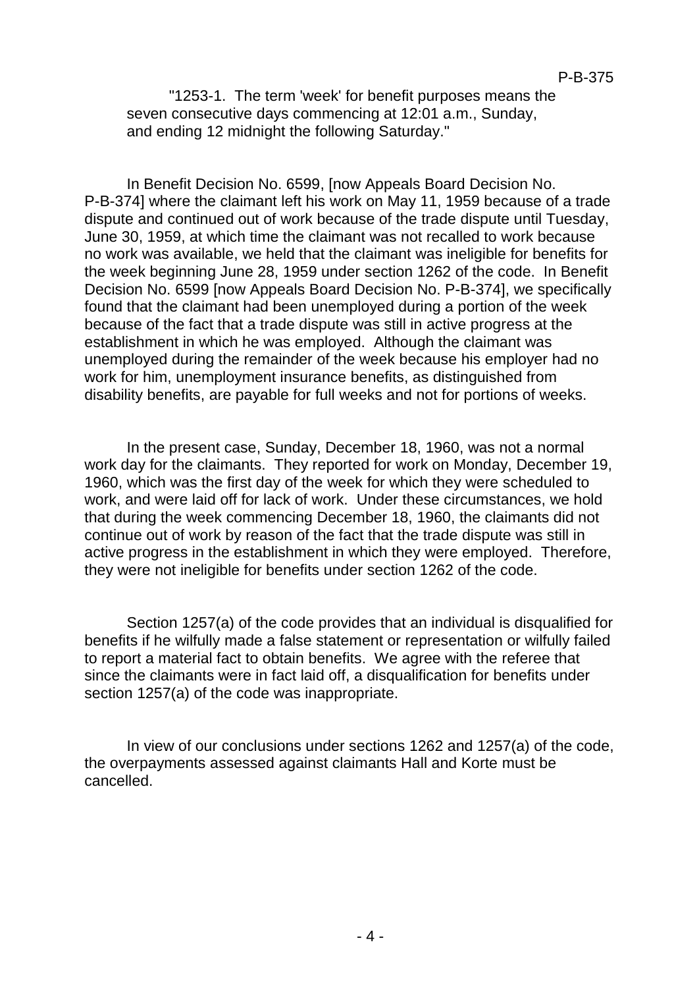"1253-1. The term 'week' for benefit purposes means the seven consecutive days commencing at 12:01 a.m., Sunday, and ending 12 midnight the following Saturday."

In Benefit Decision No. 6599, [now Appeals Board Decision No. P-B-374] where the claimant left his work on May 11, 1959 because of a trade dispute and continued out of work because of the trade dispute until Tuesday, June 30, 1959, at which time the claimant was not recalled to work because no work was available, we held that the claimant was ineligible for benefits for the week beginning June 28, 1959 under section 1262 of the code. In Benefit Decision No. 6599 [now Appeals Board Decision No. P-B-374], we specifically found that the claimant had been unemployed during a portion of the week because of the fact that a trade dispute was still in active progress at the establishment in which he was employed. Although the claimant was unemployed during the remainder of the week because his employer had no work for him, unemployment insurance benefits, as distinguished from disability benefits, are payable for full weeks and not for portions of weeks.

In the present case, Sunday, December 18, 1960, was not a normal work day for the claimants. They reported for work on Monday, December 19, 1960, which was the first day of the week for which they were scheduled to work, and were laid off for lack of work. Under these circumstances, we hold that during the week commencing December 18, 1960, the claimants did not continue out of work by reason of the fact that the trade dispute was still in active progress in the establishment in which they were employed. Therefore, they were not ineligible for benefits under section 1262 of the code.

Section 1257(a) of the code provides that an individual is disqualified for benefits if he wilfully made a false statement or representation or wilfully failed to report a material fact to obtain benefits. We agree with the referee that since the claimants were in fact laid off, a disqualification for benefits under section 1257(a) of the code was inappropriate.

In view of our conclusions under sections 1262 and 1257(a) of the code, the overpayments assessed against claimants Hall and Korte must be cancelled.